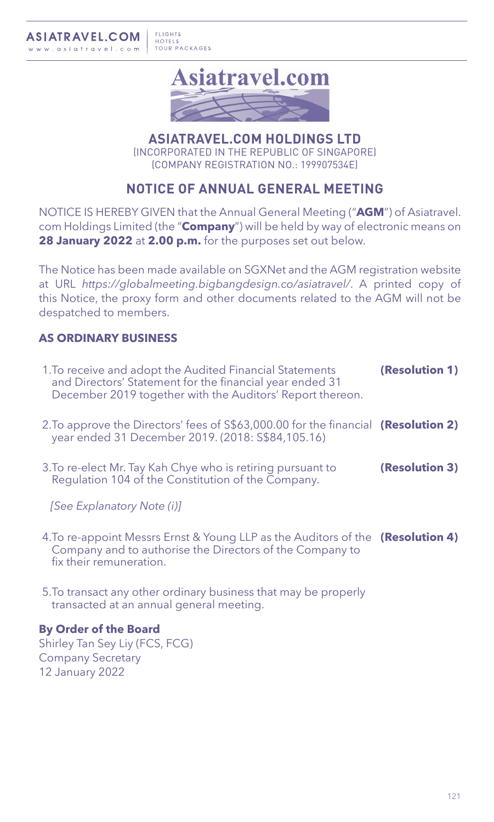

**ASIATRAVEL.COM HOLDINGS LTD** (INCORPORATED IN THE REPUBLIC OF SINGAPORE) (COMPANY REGISTRATION NO.: 199907534E)

# **NOTICE OF ANNUAL GENERAL MEETING**

NOTICE IS HEREBY GIVEN that the Annual General Meeting ("**AGM**") of Asiatravel. com Holdings Limited (the "**Company**") will be held by way of electronic means on **28 January 2022** at **2.00 p.m.** for the purposes set out below.

The Notice has been made available on SGXNet and the AGM registration website at URL *https://globalmeeting.bigbangdesign.co/asiatravel/*. A printed copy of this Notice, the proxy form and other documents related to the AGM will not be despatched to members.

## **AS ORDINARY BUSINESS**

| 1. To receive and adopt the Audited Financial Statements<br>and Directors' Statement for the financial year ended 31<br>December 2019 together with the Auditors' Report thereon. | (Resolution 1) |
|-----------------------------------------------------------------------------------------------------------------------------------------------------------------------------------|----------------|
| 2. To approve the Directors' fees of \$\$63,000.00 for the financial (Resolution 2)<br>year ended 31 December 2019. (2018: S\$84,105.16)                                          |                |
| 3. To re-elect Mr. Tay Kah Chye who is retiring pursuant to<br>Regulation 104 of the Constitution of the Company.                                                                 | (Resolution 3) |
| [See Explanatory Note (i)]                                                                                                                                                        |                |
| 4. To re-appoint Messrs Ernst & Young LLP as the Auditors of the (Resolution 4)<br>Company and to authorise the Directors of the Company to<br>fix their remuneration.            |                |
| 5. To transact any other ordinary business that may be properly<br>transacted at an annual general meeting.                                                                       |                |
| <b>By Order of the Board</b>                                                                                                                                                      |                |

Shirley Tan Sey Liy (FCS, FCG) Company Secretary 12 January 2022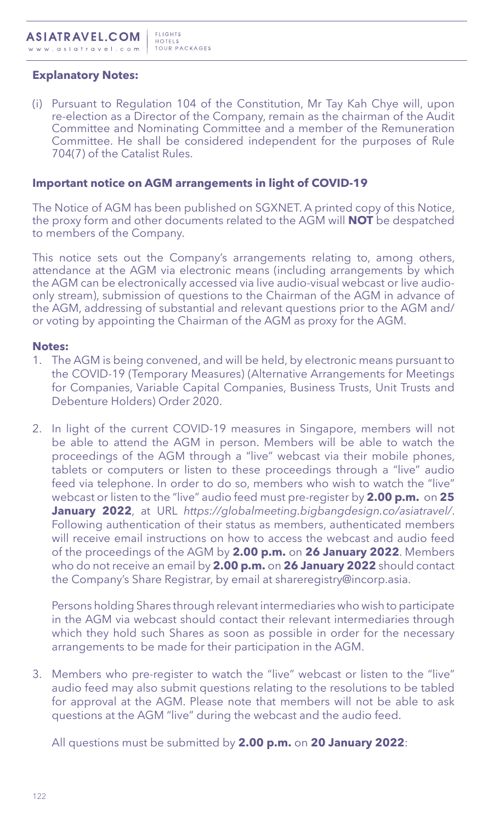### **Explanatory Notes:**

(i) Pursuant to Regulation 104 of the Constitution, Mr Tay Kah Chye will, upon re-election as a Director of the Company, remain as the chairman of the Audit Committee and Nominating Committee and a member of the Remuneration Committee. He shall be considered independent for the purposes of Rule 704(7) of the Catalist Rules.

#### **Important notice on AGM arrangements in light of COVID-19**

The Notice of AGM has been published on SGXNET. A printed copy of this Notice, the proxy form and other documents related to the AGM will **NOT** be despatched to members of the Company.

This notice sets out the Company's arrangements relating to, among others, attendance at the AGM via electronic means (including arrangements by which the AGM can be electronically accessed via live audio-visual webcast or live audioonly stream), submission of questions to the Chairman of the AGM in advance of the AGM, addressing of substantial and relevant questions prior to the AGM and/ or voting by appointing the Chairman of the AGM as proxy for the AGM.

#### **Notes:**

- 1. The AGM is being convened, and will be held, by electronic means pursuant to the COVID-19 (Temporary Measures) (Alternative Arrangements for Meetings for Companies, Variable Capital Companies, Business Trusts, Unit Trusts and Debenture Holders) Order 2020.
- 2. In light of the current COVID-19 measures in Singapore, members will not be able to attend the AGM in person. Members will be able to watch the proceedings of the AGM through a "live" webcast via their mobile phones, tablets or computers or listen to these proceedings through a "live" audio feed via telephone. In order to do so, members who wish to watch the "live" webcast or listen to the "live" audio feed must pre-register by **2.00 p.m.** on **25 January 2022**, at URL *https://globalmeeting.bigbangdesign.co/asiatravel/*. Following authentication of their status as members, authenticated members will receive email instructions on how to access the webcast and audio feed of the proceedings of the AGM by **2.00 p.m.** on **26 January 2022**. Members who do not receive an email by **2.00 p.m.** on **26 January 2022** should contact the Company's Share Registrar, by email at shareregistry@incorp.asia.

Persons holding Shares through relevant intermediaries who wish to participate in the AGM via webcast should contact their relevant intermediaries through which they hold such Shares as soon as possible in order for the necessary arrangements to be made for their participation in the AGM.

3. Members who pre-register to watch the "live" webcast or listen to the "live" audio feed may also submit questions relating to the resolutions to be tabled for approval at the AGM. Please note that members will not be able to ask questions at the AGM "live" during the webcast and the audio feed.

All questions must be submitted by **2.00 p.m.** on **20 January 2022**: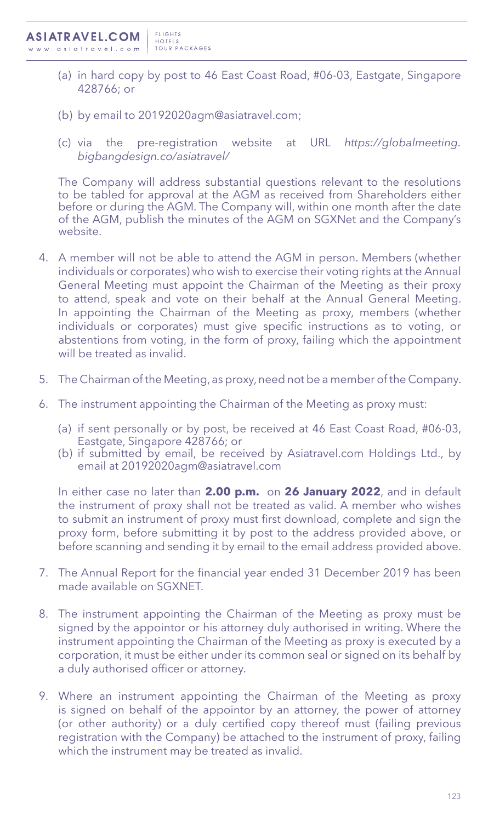- (a) in hard copy by post to 46 East Coast Road, #06-03, Eastgate, Singapore 428766; or
- (b) by email to 20192020agm@asiatravel.com;
- (c) via the pre-registration website at URL *https://globalmeeting. bigbangdesign.co/asiatravel/*

The Company will address substantial questions relevant to the resolutions to be tabled for approval at the AGM as received from Shareholders either before or during the AGM. The Company will, within one month after the date of the AGM, publish the minutes of the AGM on SGXNet and the Company's website.

- 4. A member will not be able to attend the AGM in person. Members (whether individuals or corporates) who wish to exercise their voting rights at the Annual General Meeting must appoint the Chairman of the Meeting as their proxy to attend, speak and vote on their behalf at the Annual General Meeting. In appointing the Chairman of the Meeting as proxy, members (whether individuals or corporates) must give specific instructions as to voting, or abstentions from voting, in the form of proxy, failing which the appointment will be treated as invalid.
- 5. The Chairman of the Meeting, as proxy, need not be a member of the Company.
- 6. The instrument appointing the Chairman of the Meeting as proxy must:
	- (a) if sent personally or by post, be received at 46 East Coast Road, #06-03, Eastgate, Singapore 428766; or
	- (b) if submitted by email, be received by Asiatravel.com Holdings Ltd., by email at 20192020agm@asiatravel.com

In either case no later than **2.00 p.m.** on **26 January 2022**, and in default the instrument of proxy shall not be treated as valid. A member who wishes to submit an instrument of proxy must first download, complete and sign the proxy form, before submitting it by post to the address provided above, or before scanning and sending it by email to the email address provided above.

- 7. The Annual Report for the financial year ended 31 December 2019 has been made available on SGXNET.
- 8. The instrument appointing the Chairman of the Meeting as proxy must be signed by the appointor or his attorney duly authorised in writing. Where the instrument appointing the Chairman of the Meeting as proxy is executed by a corporation, it must be either under its common seal or signed on its behalf by a duly authorised officer or attorney.
- 9. Where an instrument appointing the Chairman of the Meeting as proxy is signed on behalf of the appointor by an attorney, the power of attorney (or other authority) or a duly certified copy thereof must (failing previous registration with the Company) be attached to the instrument of proxy, failing which the instrument may be treated as invalid.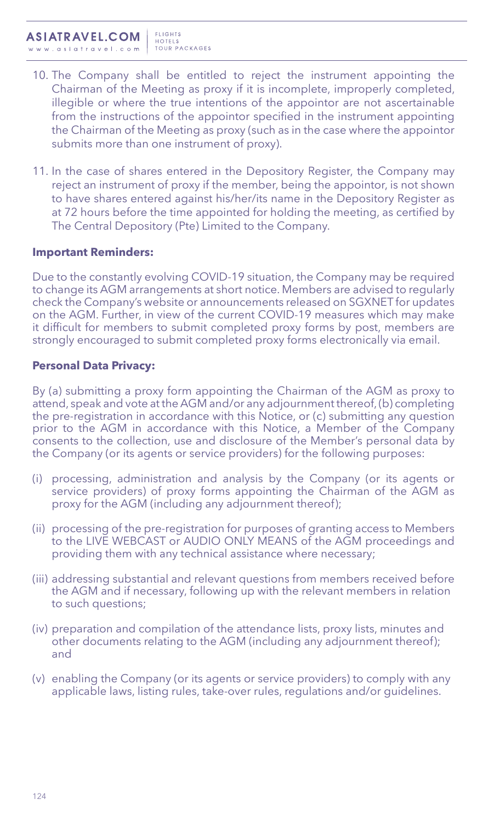- 10. The Company shall be entitled to reject the instrument appointing the Chairman of the Meeting as proxy if it is incomplete, improperly completed, illegible or where the true intentions of the appointor are not ascertainable from the instructions of the appointor specified in the instrument appointing the Chairman of the Meeting as proxy (such as in the case where the appointor submits more than one instrument of proxy).
- 11. In the case of shares entered in the Depository Register, the Company may reject an instrument of proxy if the member, being the appointor, is not shown to have shares entered against his/her/its name in the Depository Register as at 72 hours before the time appointed for holding the meeting, as certified by The Central Depository (Pte) Limited to the Company.

### **Important Reminders:**

Due to the constantly evolving COVID-19 situation, the Company may be required to change its AGM arrangements at short notice. Members are advised to regularly check the Company's website or announcements released on SGXNET for updates on the AGM. Further, in view of the current COVID-19 measures which may make it difficult for members to submit completed proxy forms by post, members are strongly encouraged to submit completed proxy forms electronically via email.

#### **Personal Data Privacy:**

By (a) submitting a proxy form appointing the Chairman of the AGM as proxy to attend, speak and vote at the AGM and/or any adjournment thereof, (b) completing the pre-registration in accordance with this Notice, or (c) submitting any question prior to the AGM in accordance with this Notice, a Member of the Company consents to the collection, use and disclosure of the Member's personal data by the Company (or its agents or service providers) for the following purposes:

- (i) processing, administration and analysis by the Company (or its agents or service providers) of proxy forms appointing the Chairman of the AGM as proxy for the AGM (including any adjournment thereof);
- (ii) processing of the pre-registration for purposes of granting access to Members to the LIVE WEBCAST or AUDIO ONLY MEANS of the AGM proceedings and providing them with any technical assistance where necessary;
- (iii) addressing substantial and relevant questions from members received before the AGM and if necessary, following up with the relevant members in relation to such questions;
- (iv) preparation and compilation of the attendance lists, proxy lists, minutes and other documents relating to the AGM (including any adjournment thereof); and
- (v) enabling the Company (or its agents or service providers) to comply with any applicable laws, listing rules, take-over rules, regulations and/or guidelines.